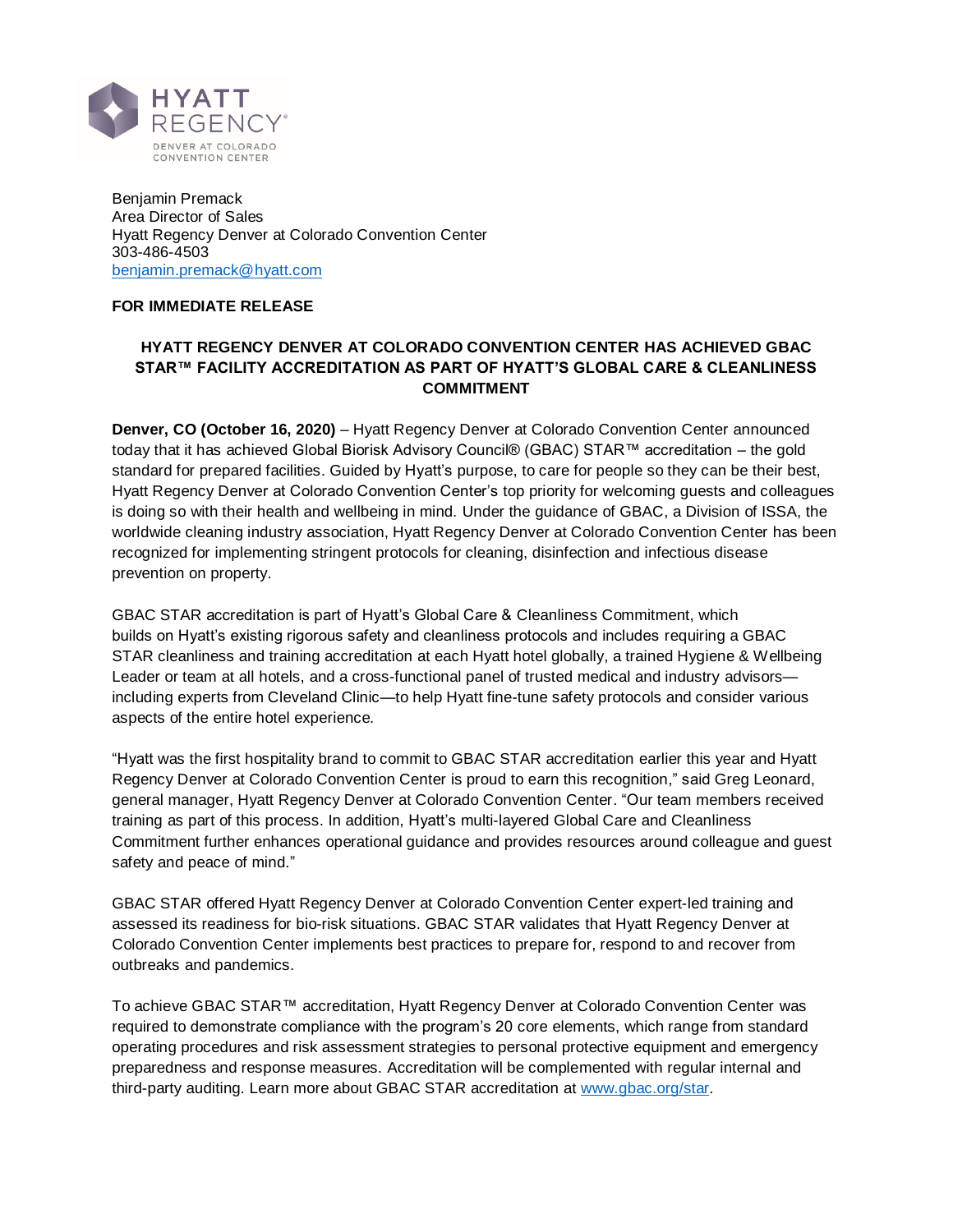

Benjamin Premack Area Director of Sales Hyatt Regency Denver at Colorado Convention Center 303-486-4503 [benjamin.premack@hyatt.com](mailto:benjamin.premack@hyatt.com)

## **FOR IMMEDIATE RELEASE**

# **HYATT REGENCY DENVER AT COLORADO CONVENTION CENTER HAS ACHIEVED GBAC STAR™ FACILITY ACCREDITATION AS PART OF HYATT'S GLOBAL CARE & CLEANLINESS COMMITMENT**

**Denver, CO (October 16, 2020)** – Hyatt Regency Denver at Colorado Convention Center announced today that it has achieved Global Biorisk Advisory Council® (GBAC) STAR™ accreditation – the gold standard for prepared facilities. Guided by Hyatt's purpose, to care for people so they can be their best, Hyatt Regency Denver at Colorado Convention Center's top priority for welcoming guests and colleagues is doing so with their health and wellbeing in mind. Under the guidance of GBAC, a Division of ISSA, the worldwide cleaning industry association, Hyatt Regency Denver at Colorado Convention Center has been recognized for implementing stringent protocols for cleaning, disinfection and infectious disease prevention on property.

GBAC STAR accreditation is part of Hyatt's Global Care & Cleanliness Commitment, which builds on Hyatt's existing rigorous safety and cleanliness protocols and includes requiring a GBAC STAR cleanliness and training accreditation at each Hyatt hotel globally, a trained Hygiene & Wellbeing Leader or team at all hotels, and a cross-functional panel of trusted medical and industry advisors including experts from Cleveland Clinic—to help Hyatt fine-tune safety protocols and consider various aspects of the entire hotel experience.

"Hyatt was the first hospitality brand to commit to GBAC STAR accreditation earlier this year and Hyatt Regency Denver at Colorado Convention Center is proud to earn this recognition," said Greg Leonard, general manager, Hyatt Regency Denver at Colorado Convention Center. "Our team members received training as part of this process. In addition, Hyatt's multi-layered Global Care and Cleanliness Commitment further enhances operational guidance and provides resources around colleague and guest safety and peace of mind."

GBAC STAR offered Hyatt Regency Denver at Colorado Convention Center expert-led training and assessed its readiness for bio-risk situations. GBAC STAR validates that Hyatt Regency Denver at Colorado Convention Center implements best practices to prepare for, respond to and recover from outbreaks and pandemics.

To achieve GBAC STAR™ accreditation, Hyatt Regency Denver at Colorado Convention Center was required to demonstrate compliance with the program's 20 core elements, which range from standard operating procedures and risk assessment strategies to personal protective equipment and emergency preparedness and response measures. Accreditation will be complemented with regular internal and third-party auditing. Learn more about GBAC STAR accreditation at [www.gbac.org/star.](http://www.gbac.org/star)